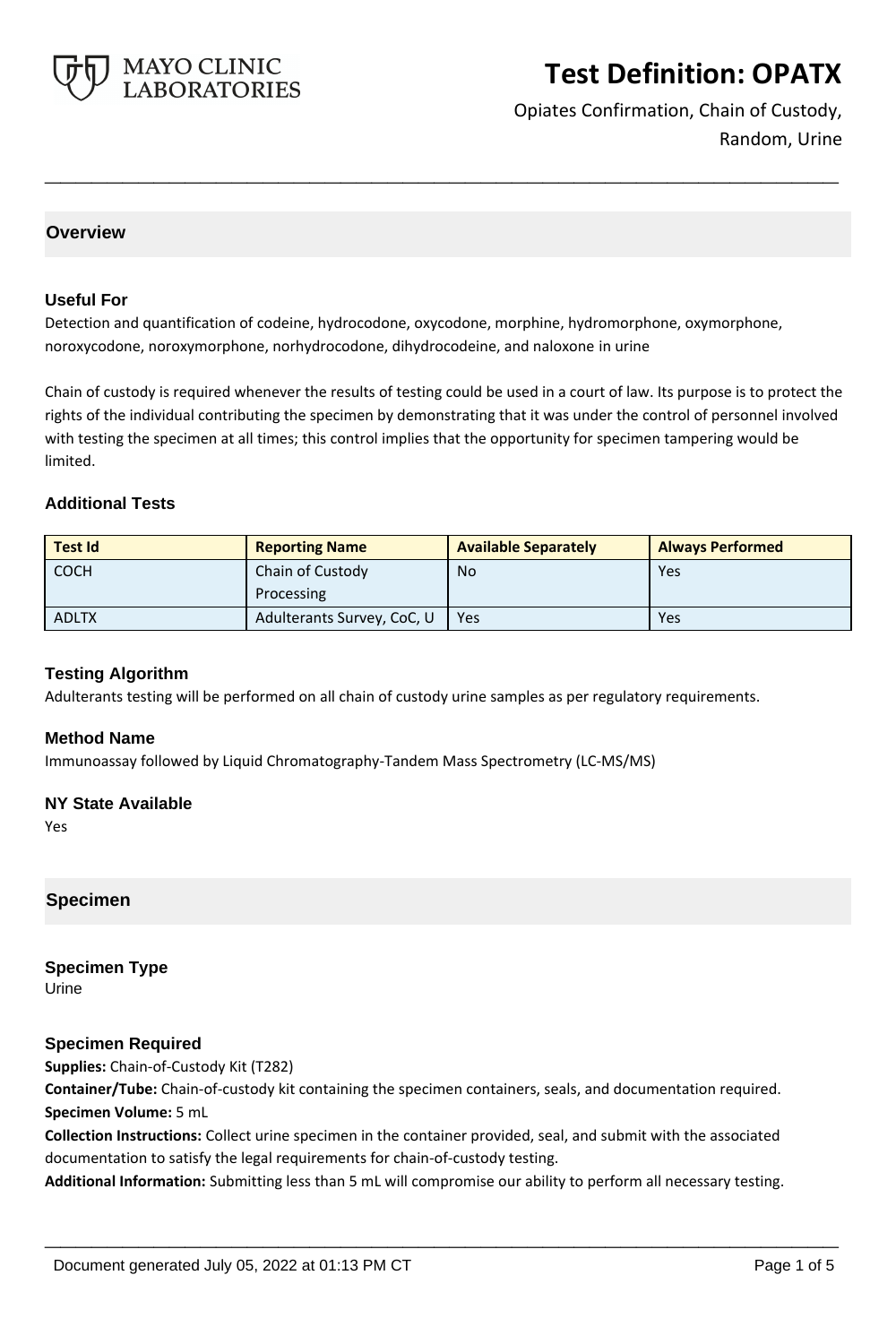

Opiates Confirmation, Chain of Custody, Random, Urine

### **Overview**

#### **Useful For**

Detection and quantification of codeine, hydrocodone, oxycodone, morphine, hydromorphone, oxymorphone, noroxycodone, noroxymorphone, norhydrocodone, dihydrocodeine, and naloxone in urine

Chain of custody is required whenever the results of testing could be used in a court of law. Its purpose is to protect the rights of the individual contributing the specimen by demonstrating that it was under the control of personnel involved with testing the specimen at all times; this control implies that the opportunity for specimen tampering would be limited.

**\_\_\_\_\_\_\_\_\_\_\_\_\_\_\_\_\_\_\_\_\_\_\_\_\_\_\_\_\_\_\_\_\_\_\_\_\_\_\_\_\_\_\_\_\_\_\_\_\_\_\_**

#### **Additional Tests**

| <b>Test Id</b> | <b>Reporting Name</b>      | <b>Available Separately</b> | <b>Always Performed</b> |
|----------------|----------------------------|-----------------------------|-------------------------|
| <b>COCH</b>    | Chain of Custody           | <b>No</b>                   | Yes                     |
|                | Processing                 |                             |                         |
| <b>ADLTX</b>   | Adulterants Survey, CoC, U | Yes                         | Yes                     |

#### **Testing Algorithm**

Adulterants testing will be performed on all chain of custody urine samples as per regulatory requirements.

#### **Method Name**

Immunoassay followed by Liquid Chromatography-Tandem Mass Spectrometry (LC-MS/MS)

#### **NY State Available**

Yes

### **Specimen**

## **Specimen Type**

Urine

### **Specimen Required**

**Supplies:** Chain-of-Custody Kit (T282)

**Container/Tube:** Chain-of-custody kit containing the specimen containers, seals, and documentation required. **Specimen Volume:** 5 mL

**Collection Instructions:** Collect urine specimen in the container provided, seal, and submit with the associated documentation to satisfy the legal requirements for chain-of-custody testing.

**Additional Information:** Submitting less than 5 mL will compromise our ability to perform all necessary testing.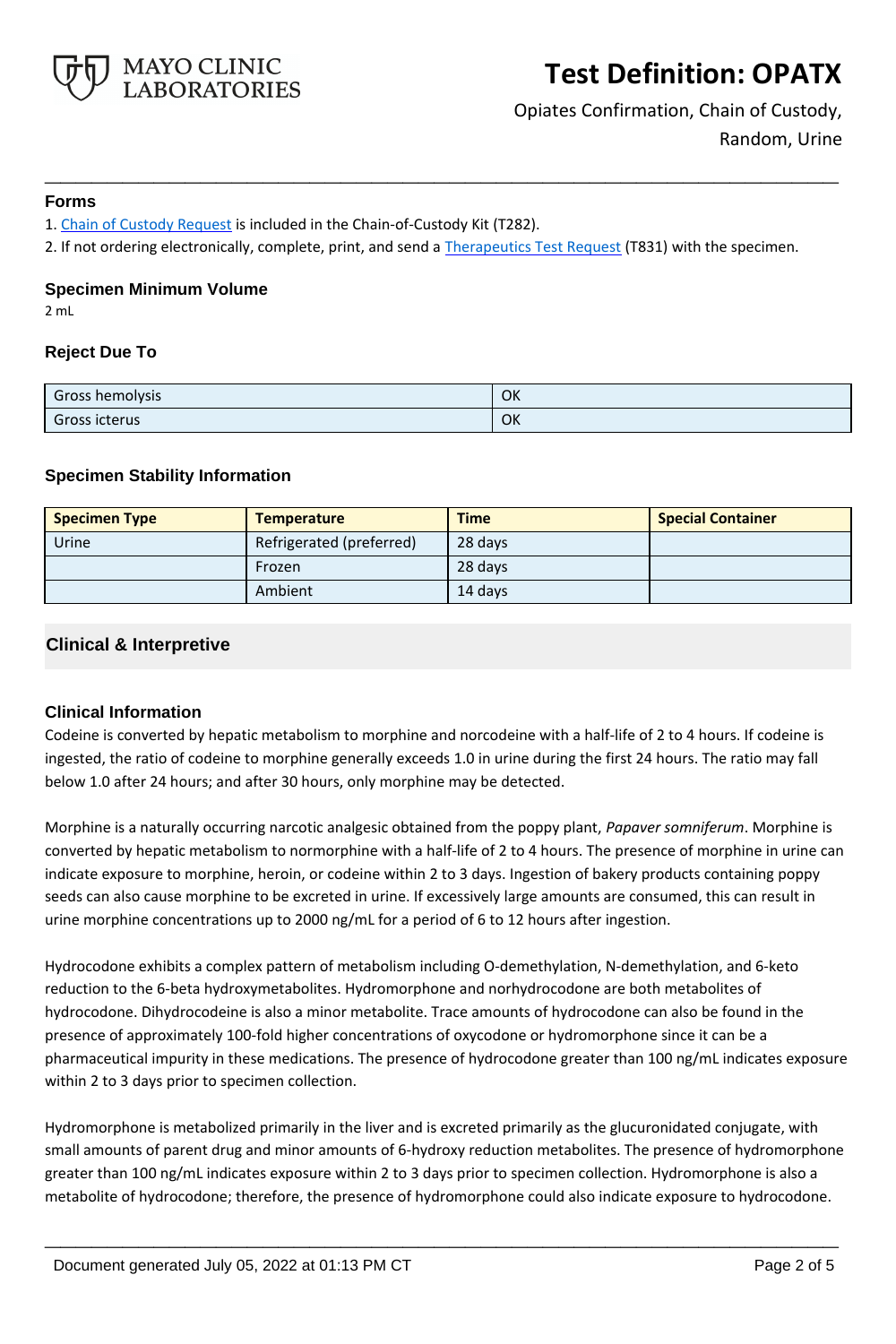

Opiates Confirmation, Chain of Custody, Random, Urine

#### **Forms**

1. [Chain of Custody Request](https://www.mayocliniclabs.com/it-mmfiles/chain-of-custody-request-form.pdf) is included in the Chain-of-Custody Kit (T282).

2. If not ordering electronically, complete, print, and send a [Therapeutics Test Request](https://www.mayocliniclabs.com/it-mmfiles/Therapeutics-Requisition-Request-Form_MC0767-19.pdf) (T831) with the specimen.

**\_\_\_\_\_\_\_\_\_\_\_\_\_\_\_\_\_\_\_\_\_\_\_\_\_\_\_\_\_\_\_\_\_\_\_\_\_\_\_\_\_\_\_\_\_\_\_\_\_\_\_**

#### **Specimen Minimum Volume**

2 mL

### **Reject Due To**

| Gross hemolysis | OK |
|-----------------|----|
| Gross icterus   | OK |

### **Specimen Stability Information**

| <b>Specimen Type</b> | <b>Temperature</b>       | <b>Time</b> | <b>Special Container</b> |
|----------------------|--------------------------|-------------|--------------------------|
| Urine                | Refrigerated (preferred) | 28 days     |                          |
|                      | Frozen                   | 28 days     |                          |
|                      | Ambient                  | 14 davs     |                          |

### **Clinical & Interpretive**

### **Clinical Information**

Codeine is converted by hepatic metabolism to morphine and norcodeine with a half-life of 2 to 4 hours. If codeine is ingested, the ratio of codeine to morphine generally exceeds 1.0 in urine during the first 24 hours. The ratio may fall below 1.0 after 24 hours; and after 30 hours, only morphine may be detected.

Morphine is a naturally occurring narcotic analgesic obtained from the poppy plant, *Papaver somniferum*. Morphine is converted by hepatic metabolism to normorphine with a half-life of 2 to 4 hours. The presence of morphine in urine can indicate exposure to morphine, heroin, or codeine within 2 to 3 days. Ingestion of bakery products containing poppy seeds can also cause morphine to be excreted in urine. If excessively large amounts are consumed, this can result in urine morphine concentrations up to 2000 ng/mL for a period of 6 to 12 hours after ingestion.

Hydrocodone exhibits a complex pattern of metabolism including O-demethylation, N-demethylation, and 6-keto reduction to the 6-beta hydroxymetabolites. Hydromorphone and norhydrocodone are both metabolites of hydrocodone. Dihydrocodeine is also a minor metabolite. Trace amounts of hydrocodone can also be found in the presence of approximately 100-fold higher concentrations of oxycodone or hydromorphone since it can be a pharmaceutical impurity in these medications. The presence of hydrocodone greater than 100 ng/mL indicates exposure within 2 to 3 days prior to specimen collection.

Hydromorphone is metabolized primarily in the liver and is excreted primarily as the glucuronidated conjugate, with small amounts of parent drug and minor amounts of 6-hydroxy reduction metabolites. The presence of hydromorphone greater than 100 ng/mL indicates exposure within 2 to 3 days prior to specimen collection. Hydromorphone is also a metabolite of hydrocodone; therefore, the presence of hydromorphone could also indicate exposure to hydrocodone.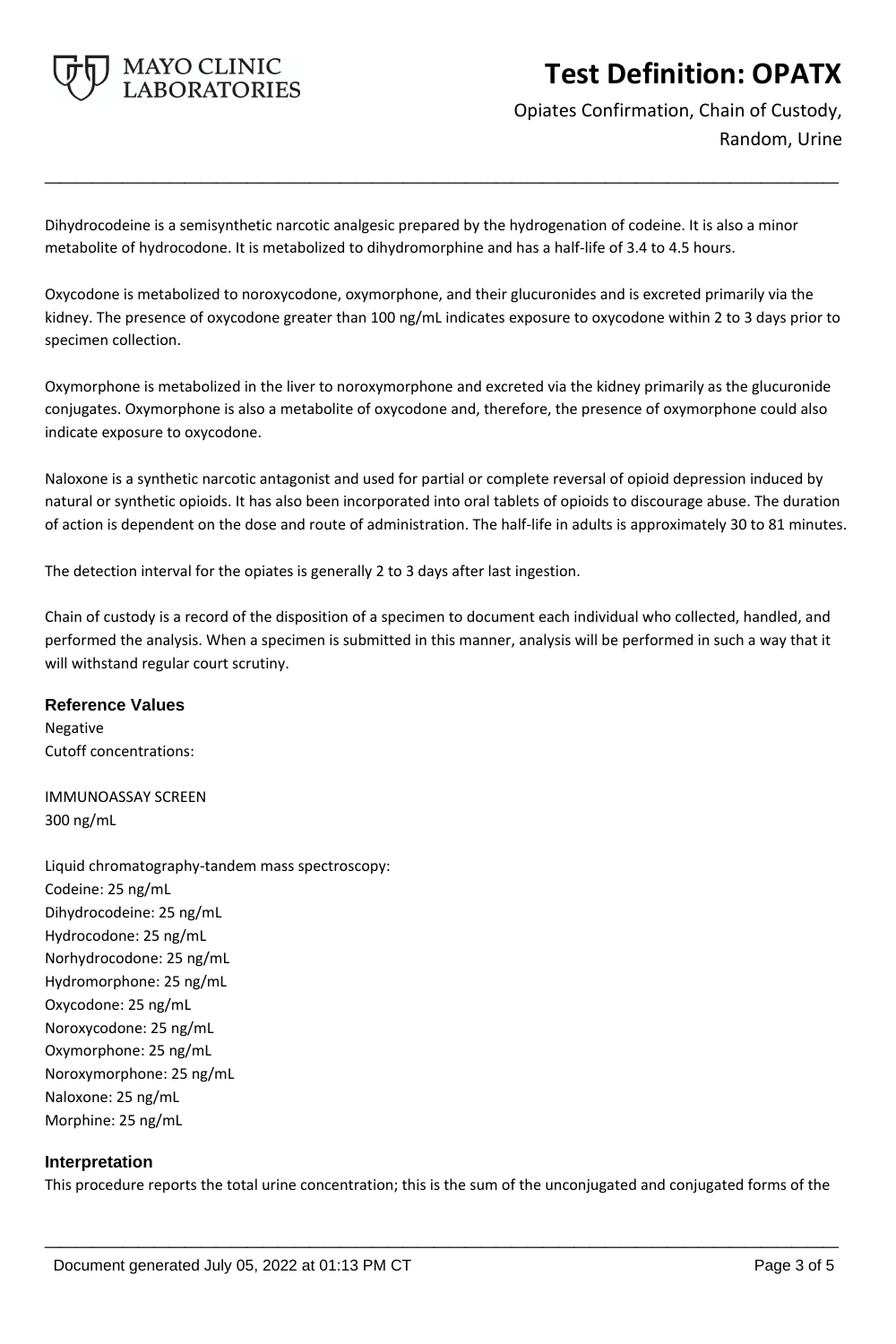

Opiates Confirmation, Chain of Custody, Random, Urine

Dihydrocodeine is a semisynthetic narcotic analgesic prepared by the hydrogenation of codeine. It is also a minor metabolite of hydrocodone. It is metabolized to dihydromorphine and has a half-life of 3.4 to 4.5 hours.

Oxycodone is metabolized to noroxycodone, oxymorphone, and their glucuronides and is excreted primarily via the kidney. The presence of oxycodone greater than 100 ng/mL indicates exposure to oxycodone within 2 to 3 days prior to specimen collection.

**\_\_\_\_\_\_\_\_\_\_\_\_\_\_\_\_\_\_\_\_\_\_\_\_\_\_\_\_\_\_\_\_\_\_\_\_\_\_\_\_\_\_\_\_\_\_\_\_\_\_\_**

Oxymorphone is metabolized in the liver to noroxymorphone and excreted via the kidney primarily as the glucuronide conjugates. Oxymorphone is also a metabolite of oxycodone and, therefore, the presence of oxymorphone could also indicate exposure to oxycodone.

Naloxone is a synthetic narcotic antagonist and used for partial or complete reversal of opioid depression induced by natural or synthetic opioids. It has also been incorporated into oral tablets of opioids to discourage abuse. The duration of action is dependent on the dose and route of administration. The half-life in adults is approximately 30 to 81 minutes.

The detection interval for the opiates is generally 2 to 3 days after last ingestion.

Chain of custody is a record of the disposition of a specimen to document each individual who collected, handled, and performed the analysis. When a specimen is submitted in this manner, analysis will be performed in such a way that it will withstand regular court scrutiny.

### **Reference Values**

Negative Cutoff concentrations:

IMMUNOASSAY SCREEN 300 ng/mL

Liquid chromatography-tandem mass spectroscopy: Codeine: 25 ng/mL Dihydrocodeine: 25 ng/mL Hydrocodone: 25 ng/mL Norhydrocodone: 25 ng/mL Hydromorphone: 25 ng/mL Oxycodone: 25 ng/mL Noroxycodone: 25 ng/mL Oxymorphone: 25 ng/mL Noroxymorphone: 25 ng/mL Naloxone: 25 ng/mL Morphine: 25 ng/mL

### **Interpretation**

This procedure reports the total urine concentration; this is the sum of the unconjugated and conjugated forms of the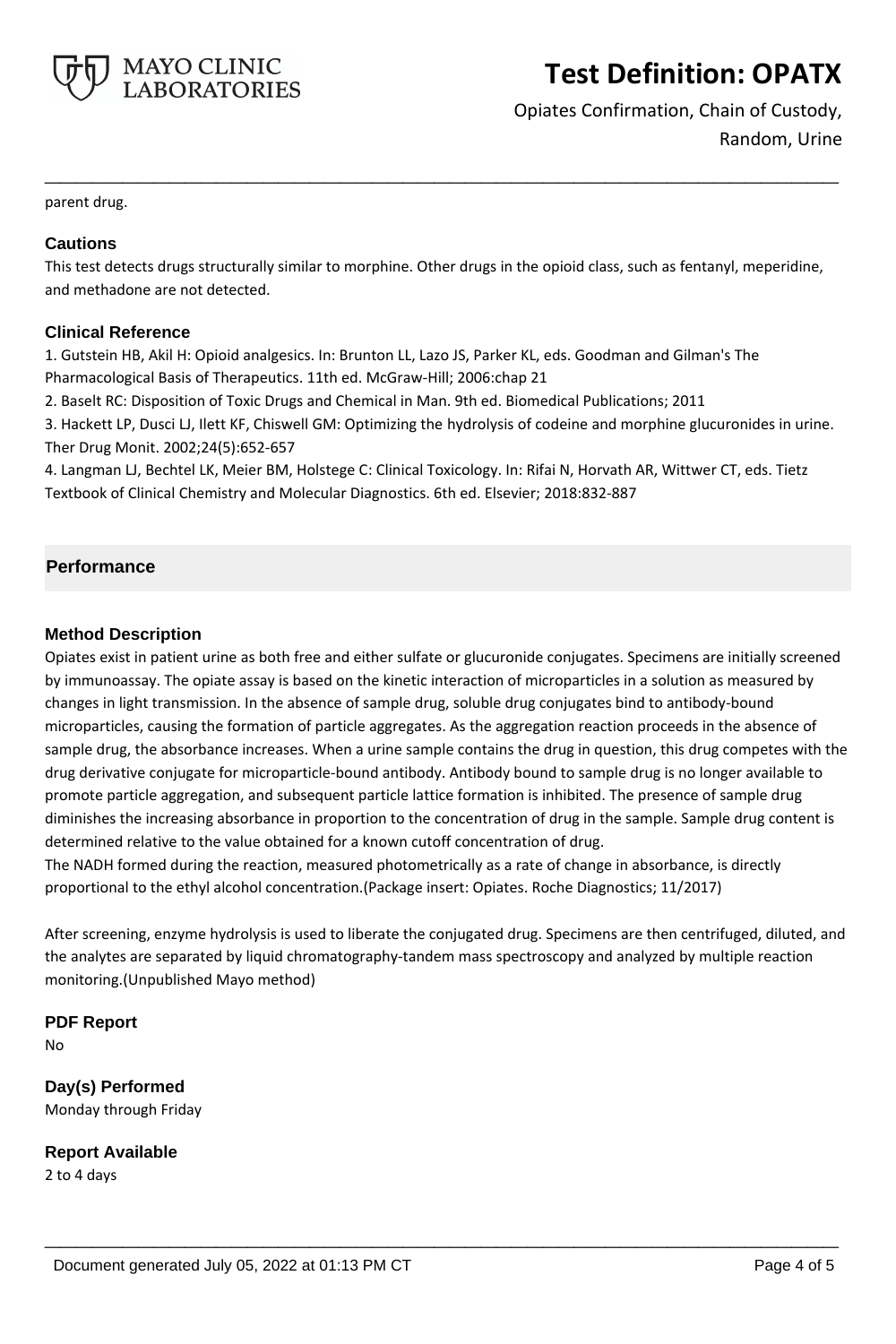

Opiates Confirmation, Chain of Custody, Random, Urine

parent drug.

#### **Cautions**

This test detects drugs structurally similar to morphine. Other drugs in the opioid class, such as fentanyl, meperidine, and methadone are not detected.

**\_\_\_\_\_\_\_\_\_\_\_\_\_\_\_\_\_\_\_\_\_\_\_\_\_\_\_\_\_\_\_\_\_\_\_\_\_\_\_\_\_\_\_\_\_\_\_\_\_\_\_**

#### **Clinical Reference**

1. Gutstein HB, Akil H: Opioid analgesics. In: Brunton LL, Lazo JS, Parker KL, eds. Goodman and Gilman's The Pharmacological Basis of Therapeutics. 11th ed. McGraw-Hill; 2006:chap 21

2. Baselt RC: Disposition of Toxic Drugs and Chemical in Man. 9th ed. Biomedical Publications; 2011

3. Hackett LP, Dusci LJ, Ilett KF, Chiswell GM: Optimizing the hydrolysis of codeine and morphine glucuronides in urine. Ther Drug Monit. 2002;24(5):652-657

4. Langman LJ, Bechtel LK, Meier BM, Holstege C: Clinical Toxicology. In: Rifai N, Horvath AR, Wittwer CT, eds. Tietz Textbook of Clinical Chemistry and Molecular Diagnostics. 6th ed. Elsevier; 2018:832-887

### **Performance**

#### **Method Description**

Opiates exist in patient urine as both free and either sulfate or glucuronide conjugates. Specimens are initially screened by immunoassay. The opiate assay is based on the kinetic interaction of microparticles in a solution as measured by changes in light transmission. In the absence of sample drug, soluble drug conjugates bind to antibody-bound microparticles, causing the formation of particle aggregates. As the aggregation reaction proceeds in the absence of sample drug, the absorbance increases. When a urine sample contains the drug in question, this drug competes with the drug derivative conjugate for microparticle-bound antibody. Antibody bound to sample drug is no longer available to promote particle aggregation, and subsequent particle lattice formation is inhibited. The presence of sample drug diminishes the increasing absorbance in proportion to the concentration of drug in the sample. Sample drug content is determined relative to the value obtained for a known cutoff concentration of drug. The NADH formed during the reaction, measured photometrically as a rate of change in absorbance, is directly proportional to the ethyl alcohol concentration.(Package insert: Opiates. Roche Diagnostics; 11/2017)

After screening, enzyme hydrolysis is used to liberate the conjugated drug. Specimens are then centrifuged, diluted, and the analytes are separated by liquid chromatography-tandem mass spectroscopy and analyzed by multiple reaction monitoring.(Unpublished Mayo method)

**\_\_\_\_\_\_\_\_\_\_\_\_\_\_\_\_\_\_\_\_\_\_\_\_\_\_\_\_\_\_\_\_\_\_\_\_\_\_\_\_\_\_\_\_\_\_\_\_\_\_\_**

**PDF Report** No

**Day(s) Performed** Monday through Friday

**Report Available** 2 to 4 days